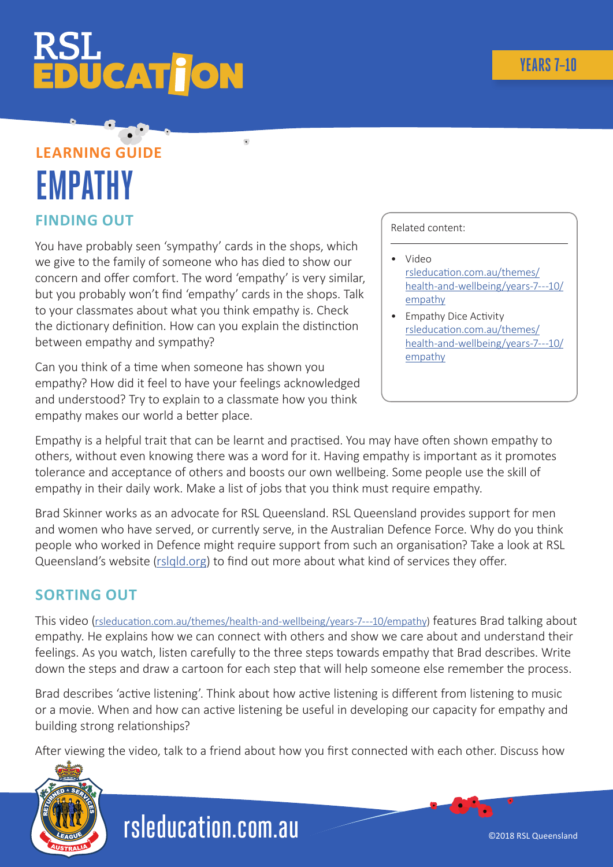# **ŪCAT JON**

### **LEARNING GUIDE EMPATHY FINDING OUT**

You have probably seen 'sympathy' cards in the shops, which we give to the family of someone who has died to show our concern and offer comfort. The word 'empathy' is very similar, but you probably won't find 'empathy' cards in the shops. Talk to your classmates about what you think empathy is. Check the dictionary definition. How can you explain the distinction between empathy and sympathy?

Can you think of a time when someone has shown you empathy? How did it feel to have your feelings acknowledged and understood? Try to explain to a classmate how you think empathy makes our world a better place.

#### Related content:

- Video [rsleducation.com.au/themes/](http://rsleducation.com.au/themes/health-and-wellbeing/years-7---10/empathy) [health-and-wellbeing/years-7---10/](http://rsleducation.com.au/themes/health-and-wellbeing/years-7---10/empathy) [empathy](http://rsleducation.com.au/themes/health-and-wellbeing/years-7---10/empathy)
- Empathy Dice Activity [rsleducation.com.au/themes/](http://rsleducation.com.au/themes/health-and-wellbeing/years-7---10/empathy) [health-and-wellbeing/years-7---10/](http://rsleducation.com.au/themes/health-and-wellbeing/years-7---10/empathy) [empathy](http://rsleducation.com.au/themes/health-and-wellbeing/years-7---10/empathy)

Empathy is a helpful trait that can be learnt and practised. You may have often shown empathy to others, without even knowing there was a word for it. Having empathy is important as it promotes tolerance and acceptance of others and boosts our own wellbeing. Some people use the skill of empathy in their daily work. Make a list of jobs that you think must require empathy.

Brad Skinner works as an advocate for RSL Queensland. RSL Queensland provides support for men and women who have served, or currently serve, in the Australian Defence Force. Why do you think people who worked in Defence might require support from such an organisation? Take a look at RSL Queensland's website [\(rslqld.org](http://rslqld.org)) to find out more about what kind of services they offer.

#### **SORTING OUT**

This video [\(rsleducation.com.au/themes/health-and-wellbeing/years-7---10/empathy](http://rsleducation.com.au/themes/health-and-wellbeing/years-7---10/empathy)) features Brad talking about empathy. He explains how we can connect with others and show we care about and understand their feelings. As you watch, listen carefully to the three steps towards empathy that Brad describes. Write down the steps and draw a cartoon for each step that will help someone else remember the process.

Brad describes 'active listening'. Think about how active listening is different from listening to music or a movie. When and how can active listening be useful in developing our capacity for empathy and building strong relationships?

After viewing the video, talk to a friend about how you first connected with each other. Discuss how

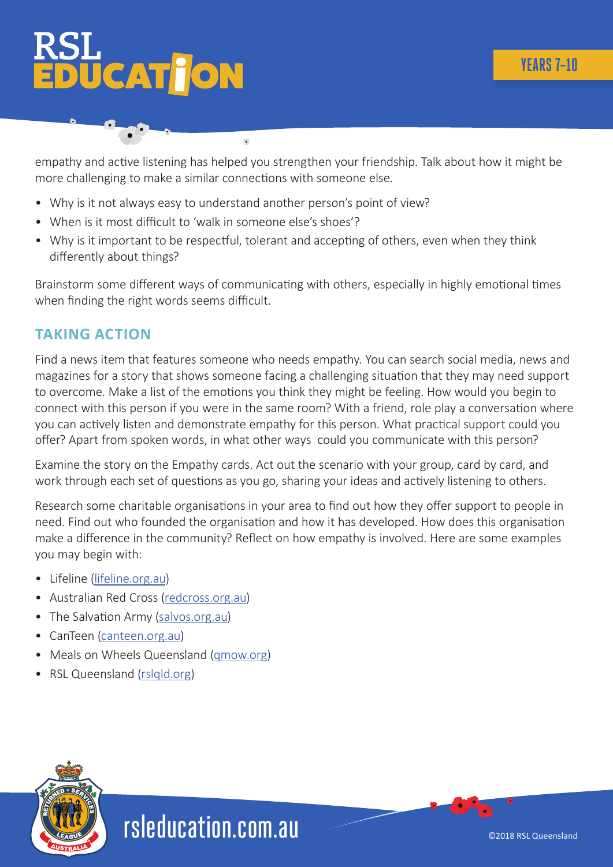### **YEARS 7–10**

# **ŪCAT JON**

empathy and active listening has helped you strengthen your friendship. Talk about how it might be more challenging to make a similar connections with someone else.

- Why is it not always easy to understand another person's point of view?
- When is it most difficult to 'walk in someone else's shoes'?
- Why is it important to be respectful, tolerant and accepting of others, even when they think differently about things?

Brainstorm some different ways of communicating with others, especially in highly emotional times when finding the right words seems difficult.

#### **TAKING ACTION**

Find a news item that features someone who needs empathy. You can search social media, news and magazines for a story that shows someone facing a challenging situation that they may need support to overcome. Make a list of the emotions you think they might be feeling. How would you begin to connect with this person if you were in the same room? With a friend, role play a conversation where you can actively listen and demonstrate empathy for this person. What practical support could you offer? Apart from spoken words, in what other ways could you communicate with this person?

Examine the story on the Empathy cards. Act out the scenario with your group, card by card, and work through each set of questions as you go, sharing your ideas and actively listening to others.

Research some charitable organisations in your area to find out how they offer support to people in need. Find out who founded the organisation and how it has developed. How does this organisation make a difference in the community? Reflect on how empathy is involved. Here are some examples you may begin with:

- Lifeline ([lifeline.org.au](http://www.lifeline.org.au))
- Australian Red Cross [\(redcross.org.au](http://www.redcross.org.au))
- The Salvation Army [\(salvos.org.au](http://www.salvos.org.au))
- CanTeen [\(canteen.org.au](http://canteen.org.au))
- Meals on Wheels Queensland [\(qmow.org](http://qmow.org))
- RSL Queensland [\(rslqld.org](http://rslqld.org))